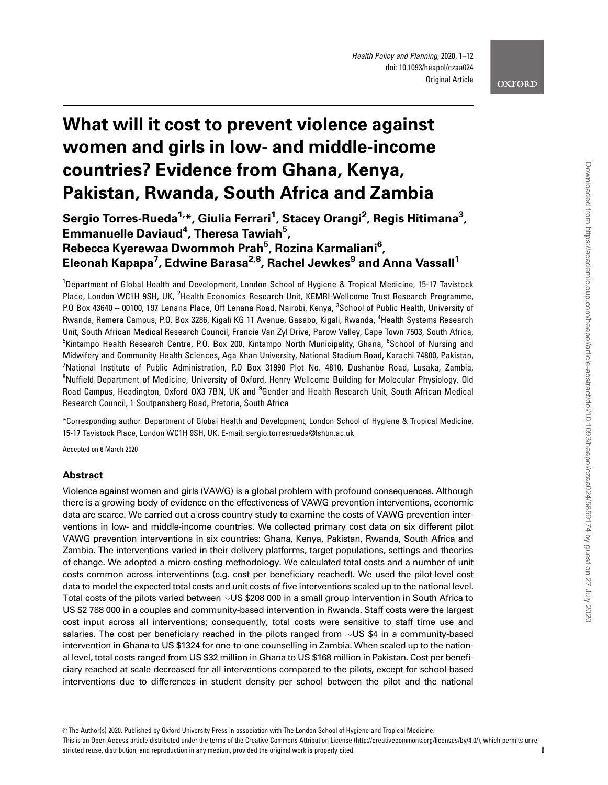## **OXFORD**

# What will it cost to prevent violence against women and girls in low- and middle-income countries? Evidence from Ghana, Kenya, Pakistan, Rwanda, South Africa and Zambia

Sergio Torres-Rueda<sup>1,</sup>\*, Giulia Ferrari<sup>1</sup>, Stacey Orangi<sup>2</sup>, Regis Hitimana<sup>3</sup>, Emmanuelle Daviaud<sup>4</sup>, Theresa Tawiah<sup>5</sup>, Rebecca Kyerewaa Dwommoh Prah<sup>5</sup>, Rozina Karmaliani<sup>6</sup>, Eleonah Kapapa<sup>7</sup>, Edwine Barasa<sup>2,8</sup>, Rachel Jewkes<sup>9</sup> and Anna Vassall<sup>1</sup>

<sup>1</sup>Department of Global Health and Development, London School of Hygiene & Tropical Medicine, 15-17 Tavistock Place, London WC1H 9SH, UK, <sup>2</sup>Health Economics Research Unit, KEMRI-Wellcome Trust Research Programme, P.O Box 43640 – 00100, 197 Lenana Place, Off Lenana Road, Nairobi, Kenya, <sup>3</sup>School of Public Health, University of Rwanda, Remera Campus, P.O. Box 3286, Kigali KG 11 Avenue, Gasabo, Kigali, Rwanda, <sup>4</sup>Health Systems Research Unit, South African Medical Research Council, Francie Van Zyl Drive, Parow Valley, Cape Town 7503, South Africa, <sup>5</sup>Kintampo Health Research Centre, P.O. Box 200, Kintampo North Municipality, Ghana, <sup>6</sup>School of Nursing and Midwifery and Community Health Sciences, Aga Khan University, National Stadium Road, Karachi 74800, Pakistan, <sup>7</sup>National Institute of Public Administration, P.O Box 31990 Plot No. 4810, Dushanbe Road, Lusaka, Zambia, <sup>8</sup>Nuffield Department of Medicine, University of Oxford, Henry Wellcome Building for Molecular Physiology, Old Road Campus, Headington, Oxford OX3 7BN, UK and <sup>9</sup>Gender and Health Research Unit, South African Medical Research Council, 1 Soutpansberg Road, Pretoria, South Africa

\*Corresponding author. Department of Global Health and Development, London School of Hygiene & Tropical Medicine, 15-17 Tavistock Place, London WC1H 9SH, UK. E-mail: sergio.torresrueda@lshtm.ac.uk

Accepted on 6 March 2020

## Abstract

Violence against women and girls (VAWG) is a global problem with profound consequences. Although there is a growing body of evidence on the effectiveness of VAWG prevention interventions, economic data are scarce. We carried out a cross-country study to examine the costs of VAWG prevention interventions in low- and middle-income countries. We collected primary cost data on six different pilot VAWG prevention interventions in six countries: Ghana, Kenya, Pakistan, Rwanda, South Africa and Zambia. The interventions varied in their delivery platforms, target populations, settings and theories of change. We adopted a micro-costing methodology. We calculated total costs and a number of unit costs common across interventions (e.g. cost per beneficiary reached). We used the pilot-level cost data to model the expected total costs and unit costs of five interventions scaled up to the national level. Total costs of the pilots varied between  $\sim$ US \$208 000 in a small group intervention in South Africa to US \$2 788 000 in a couples and community-based intervention in Rwanda. Staff costs were the largest cost input across all interventions; consequently, total costs were sensitive to staff time use and salaries. The cost per beneficiary reached in the pilots ranged from  $\sim$ US \$4 in a community-based intervention in Ghana to US \$1324 for one-to-one counselling in Zambia. When scaled up to the national level, total costs ranged from US \$32 million in Ghana to US \$168 million in Pakistan. Cost per beneficiary reached at scale decreased for all interventions compared to the pilots, except for school-based interventions due to differences in student density per school between the pilot and the national

This is an Open Access article distributed under the terms of the Creative Commons Attribution License (http://creativecommons.org/licenses/by/4.0/), which permits unrestricted reuse, distribution, and reproduction in any medium, provided the original work is properly cited. 1

<sup>©</sup> The Author(s) 2020. Published by Oxford University Press in association with The London School of Hygiene and Tropical Medicine.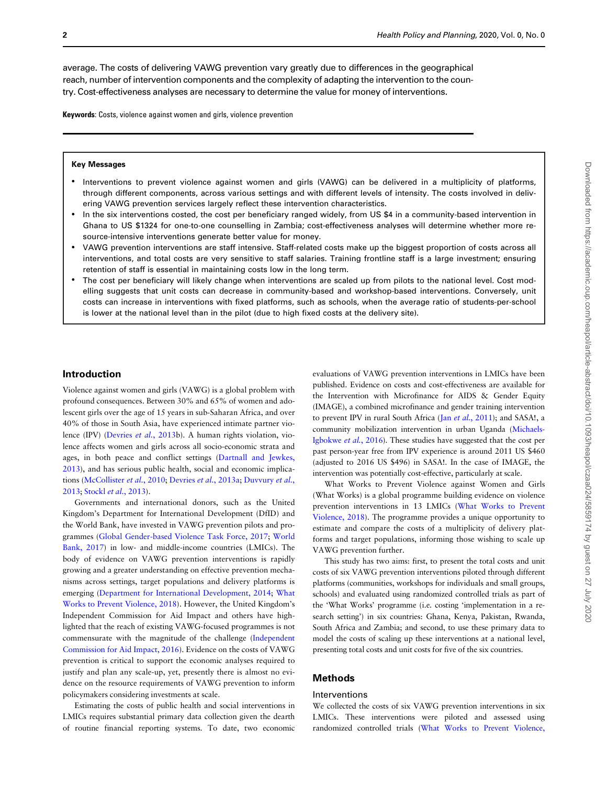average. The costs of delivering VAWG prevention vary greatly due to differences in the geographical reach, number of intervention components and the complexity of adapting the intervention to the country. Cost-effectiveness analyses are necessary to determine the value for money of interventions.

Keywords: Costs, violence against women and girls, violence prevention

#### Key Messages

- Interventions to prevent violence against women and girls (VAWG) can be delivered in a multiplicity of platforms, through different components, across various settings and with different levels of intensity. The costs involved in delivering VAWG prevention services largely reflect these intervention characteristics.
- In the six interventions costed, the cost per beneficiary ranged widely, from US \$4 in a community-based intervention in Ghana to US \$1324 for one-to-one counselling in Zambia; cost-effectiveness analyses will determine whether more resource-intensive interventions generate better value for money.
- VAWG prevention interventions are staff intensive. Staff-related costs make up the biggest proportion of costs across all interventions, and total costs are very sensitive to staff salaries. Training frontline staff is a large investment; ensuring retention of staff is essential in maintaining costs low in the long term.
- The cost per beneficiary will likely change when interventions are scaled up from pilots to the national level. Cost modelling suggests that unit costs can decrease in community-based and workshop-based interventions. Conversely, unit costs can increase in interventions with fixed platforms, such as schools, when the average ratio of students-per-school is lower at the national level than in the pilot (due to high fixed costs at the delivery site).

### Introduction

Violence against women and girls (VAWG) is a global problem with profound consequences. Between 30% and 65% of women and adolescent girls over the age of 15 years in sub-Saharan Africa, and over 40% of those in South Asia, have experienced intimate partner violence (IPV) [\(Devries](#page-11-0) et al., 2013b). A human rights violation, violence affects women and girls across all socio-economic strata and ages, in both peace and conflict settings [\(Dartnall and Jewkes,](#page-11-0) [2013\)](#page-11-0), and has serious public health, social and economic implications ([McCollister](#page-11-0) et al., 2010; Devries et al.[, 2013a;](#page-11-0) [Duvvury](#page-11-0) et al., [2013;](#page-11-0) Stockl et al.[, 2013\)](#page-11-0).

Governments and international donors, such as the United Kingdom's Department for International Development (DfID) and the World Bank, have invested in VAWG prevention pilots and programmes ([Global Gender-based Violence Task Force, 2017;](#page-11-0) [World](#page-11-0) [Bank, 2017\)](#page-11-0) in low- and middle-income countries (LMICs). The body of evidence on VAWG prevention interventions is rapidly growing and a greater understanding on effective prevention mechanisms across settings, target populations and delivery platforms is emerging [\(Department for International Development, 2014](#page-11-0); [What](#page-11-0) [Works to Prevent Violence, 2018](#page-11-0)). However, the United Kingdom's Independent Commission for Aid Impact and others have highlighted that the reach of existing VAWG-focused programmes is not commensurate with the magnitude of the challenge ([Independent](#page-11-0) [Commission for Aid Impact, 2016](#page-11-0)). Evidence on the costs of VAWG prevention is critical to support the economic analyses required to justify and plan any scale-up, yet, presently there is almost no evidence on the resource requirements of VAWG prevention to inform policymakers considering investments at scale.

Estimating the costs of public health and social interventions in LMICs requires substantial primary data collection given the dearth of routine financial reporting systems. To date, two economic evaluations of VAWG prevention interventions in LMICs have been published. Evidence on costs and cost-effectiveness are available for the Intervention with Microfinance for AIDS & Gender Equity (IMAGE), a combined microfinance and gender training intervention to prevent IPV in rural South Africa (Jan et al.[, 2011](#page-11-0)); and SASA!, a community mobilization intervention in urban Uganda [\(Michaels-](#page-11-0)[Igbokwe](#page-11-0) et al., 2016). These studies have suggested that the cost per past person-year free from IPV experience is around 2011 US \$460 (adjusted to 2016 US \$496) in SASA!. In the case of IMAGE, the intervention was potentially cost-effective, particularly at scale.

What Works to Prevent Violence against Women and Girls (What Works) is a global programme building evidence on violence prevention interventions in 13 LMICs [\(What Works to Prevent](#page-11-0) [Violence, 2018](#page-11-0)). The programme provides a unique opportunity to estimate and compare the costs of a multiplicity of delivery platforms and target populations, informing those wishing to scale up VAWG prevention further.

This study has two aims: first, to present the total costs and unit costs of six VAWG prevention interventions piloted through different platforms (communities, workshops for individuals and small groups, schools) and evaluated using randomized controlled trials as part of the 'What Works' programme (i.e. costing 'implementation in a research setting') in six countries: Ghana, Kenya, Pakistan, Rwanda, South Africa and Zambia; and second, to use these primary data to model the costs of scaling up these interventions at a national level, presenting total costs and unit costs for five of the six countries.

# Methods

#### Interventions

We collected the costs of six VAWG prevention interventions in six LMICs. These interventions were piloted and assessed using randomized controlled trials [\(What Works to Prevent Violence,](#page-11-0)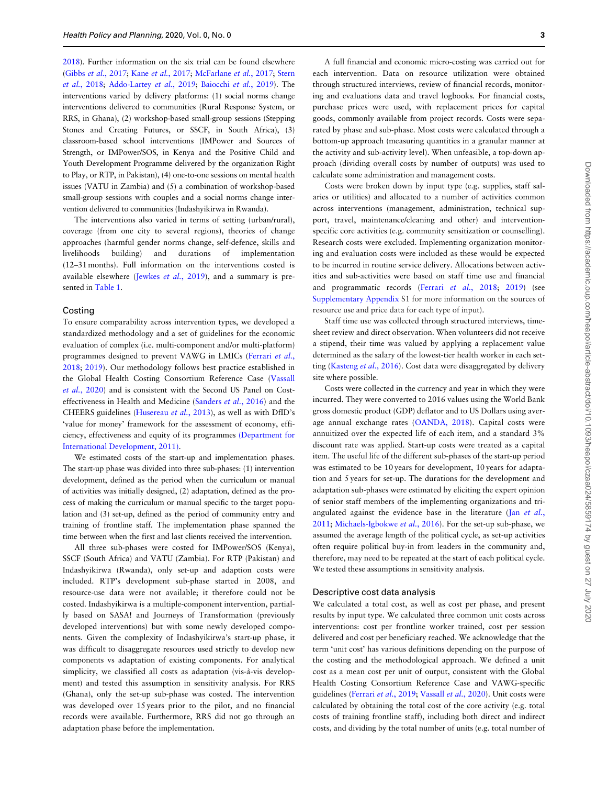[2018](#page-11-0)). Further information on the six trial can be found elsewhere (Gibbs et al.[, 2017;](#page-11-0) Kane et al.[, 2017;](#page-11-0) [McFarlane](#page-11-0) et al., 2017; [Stern](#page-11-0) et al.[, 2018;](#page-11-0) [Addo-Lartey](#page-11-0) et al., 2019; [Baiocchi](#page-11-0) et al., 2019). The interventions varied by delivery platforms: (1) social norms change interventions delivered to communities (Rural Response System, or RRS, in Ghana), (2) workshop-based small-group sessions (Stepping Stones and Creating Futures, or SSCF, in South Africa), (3) classroom-based school interventions (IMPower and Sources of Strength, or IMPower/SOS, in Kenya and the Positive Child and Youth Development Programme delivered by the organization Right to Play, or RTP, in Pakistan), (4) one-to-one sessions on mental health issues (VATU in Zambia) and (5) a combination of workshop-based small-group sessions with couples and a social norms change intervention delivered to communities (Indashyikirwa in Rwanda).

The interventions also varied in terms of setting (urban/rural), coverage (from one city to several regions), theories of change approaches (harmful gender norms change, self-defence, skills and livelihoods building) and durations of implementation (12–31 months). Full information on the interventions costed is available elsewhere [\(Jewkes](#page-11-0) et al., 2019), and a summary is presented in [Table 1](#page-3-0).

### Costing

To ensure comparability across intervention types, we developed a standardized methodology and a set of guidelines for the economic evaluation of complex (i.e. multi-component and/or multi-platform) programmes designed to prevent VAWG in LMICs [\(Ferrari](#page-11-0) et al., [2018;](#page-11-0) [2019](#page-11-0)). Our methodology follows best practice established in the Global Health Costing Consortium Reference Case ([Vassall](#page-11-0) et al.[, 2020](#page-11-0)) and is consistent with the Second US Panel on Costeffectiveness in Health and Medicine ([Sanders](#page-11-0) et al., 2016) and the CHEERS guidelines [\(Husereau](#page-11-0) et al., 2013), as well as with DfID's 'value for money' framework for the assessment of economy, efficiency, effectiveness and equity of its programmes [\(Department for](#page-11-0) [International Development, 2011\)](#page-11-0).

We estimated costs of the start-up and implementation phases. The start-up phase was divided into three sub-phases: (1) intervention development, defined as the period when the curriculum or manual of activities was initially designed, (2) adaptation, defined as the process of making the curriculum or manual specific to the target population and (3) set-up, defined as the period of community entry and training of frontline staff. The implementation phase spanned the time between when the first and last clients received the intervention.

All three sub-phases were costed for IMPower/SOS (Kenya), SSCF (South Africa) and VATU (Zambia). For RTP (Pakistan) and Indashyikirwa (Rwanda), only set-up and adaption costs were included. RTP's development sub-phase started in 2008, and resource-use data were not available; it therefore could not be costed. Indashyikirwa is a multiple-component intervention, partially based on SASA! and Journeys of Transformation (previously developed interventions) but with some newly developed components. Given the complexity of Indashyikirwa's start-up phase, it was difficult to disaggregate resources used strictly to develop new components vs adaptation of existing components. For analytical simplicity, we classified all costs as adaptation (vis-à-vis development) and tested this assumption in sensitivity analysis. For RRS (Ghana), only the set-up sub-phase was costed. The intervention was developed over 15 years prior to the pilot, and no financial records were available. Furthermore, RRS did not go through an adaptation phase before the implementation.

A full financial and economic micro-costing was carried out for each intervention. Data on resource utilization were obtained through structured interviews, review of financial records, monitoring and evaluations data and travel logbooks. For financial costs, purchase prices were used, with replacement prices for capital goods, commonly available from project records. Costs were separated by phase and sub-phase. Most costs were calculated through a bottom-up approach (measuring quantities in a granular manner at the activity and sub-activity level). When unfeasible, a top-down approach (dividing overall costs by number of outputs) was used to calculate some administration and management costs.

Costs were broken down by input type (e.g. supplies, staff salaries or utilities) and allocated to a number of activities common across interventions (management, administration, technical support, travel, maintenance/cleaning and other) and interventionspecific core activities (e.g. community sensitization or counselling). Research costs were excluded. Implementing organization monitoring and evaluation costs were included as these would be expected to be incurred in routine service delivery. Allocations between activities and sub-activities were based on staff time use and financial and programmatic records (Ferrari et al.[, 2018;](#page-11-0) [2019](#page-11-0)) (see [Supplementary Appendix](https://academic.oup.com/heapol/article-lookup/doi/10.1093/heapol/czaa024#supplementary-data) S1 for more information on the sources of resource use and price data for each type of input).

Staff time use was collected through structured interviews, timesheet review and direct observation. When volunteers did not receive a stipend, their time was valued by applying a replacement value determined as the salary of the lowest-tier health worker in each set-ting [\(Kasteng](#page-11-0) et al., 2016). Cost data were disaggregated by delivery site where possible.

Costs were collected in the currency and year in which they were incurred. They were converted to 2016 values using the World Bank gross domestic product (GDP) deflator and to US Dollars using average annual exchange rates ([OANDA, 2018](#page-11-0)). Capital costs were annuitized over the expected life of each item, and a standard 3% discount rate was applied. Start-up costs were treated as a capital item. The useful life of the different sub-phases of the start-up period was estimated to be 10 years for development, 10 years for adaptation and 5 years for set-up. The durations for the development and adaptation sub-phases were estimated by eliciting the expert opinion of senior staff members of the implementing organizations and triangulated against the evidence base in the literature (Jan [et al.](#page-11-0), [2011;](#page-11-0) [Michaels-Igbokwe](#page-11-0) et al., 2016). For the set-up sub-phase, we assumed the average length of the political cycle, as set-up activities often require political buy-in from leaders in the community and, therefore, may need to be repeated at the start of each political cycle. We tested these assumptions in sensitivity analysis.

## Descriptive cost data analysis

We calculated a total cost, as well as cost per phase, and present results by input type. We calculated three common unit costs across interventions: cost per frontline worker trained, cost per session delivered and cost per beneficiary reached. We acknowledge that the term 'unit cost' has various definitions depending on the purpose of the costing and the methodological approach. We defined a unit cost as a mean cost per unit of output, consistent with the Global Health Costing Consortium Reference Case and VAWG-specific guidelines [\(Ferrari](#page-11-0) et al., 2019; [Vassall](#page-11-0) et al., 2020). Unit costs were calculated by obtaining the total cost of the core activity (e.g. total costs of training frontline staff), including both direct and indirect costs, and dividing by the total number of units (e.g. total number of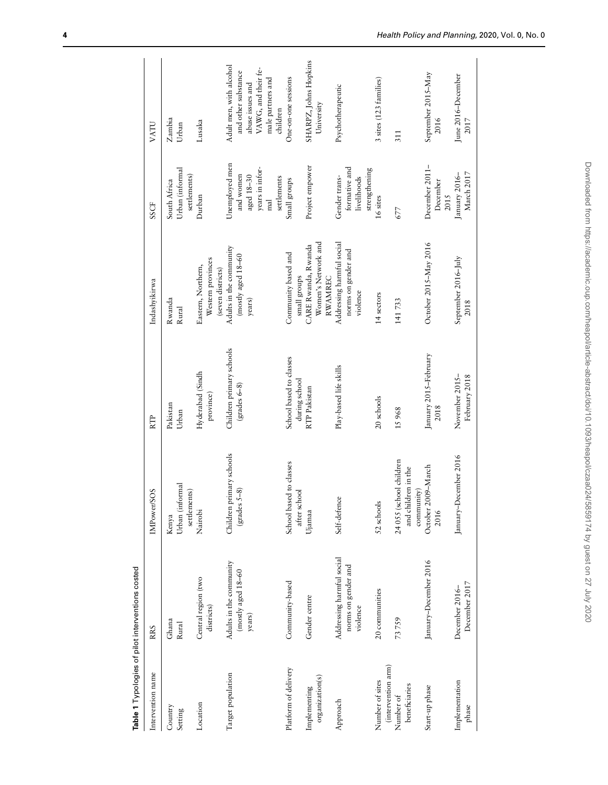<span id="page-3-0"></span>

| Intervention name                     | <b>RRS</b>                                                   | SOS/<br>IMPower                                              | RTP                                       | Indashyikirwa                                                | SSCF                                                                                         | VATU                                                                                                                       |
|---------------------------------------|--------------------------------------------------------------|--------------------------------------------------------------|-------------------------------------------|--------------------------------------------------------------|----------------------------------------------------------------------------------------------|----------------------------------------------------------------------------------------------------------------------------|
| Country<br>Setting                    | Ghana<br>Rural                                               | Urban (informal<br>settlements)<br>Kenya                     | Pakistan<br>Urban                         | Rwanda<br>Rural                                              | Urban (informal<br>settlements)<br>South Africa                                              | Zambia<br>Urban                                                                                                            |
| Location                              | Central region (two<br>districts)                            | Nairobi                                                      | Hyderabad (Sindh<br>province)             | Western provinces<br>Eastern, Northern,<br>(seven districts) | Durban                                                                                       | Lusaka                                                                                                                     |
| Target population                     | Adults in the community<br>$(mosty $ aged $18-60$<br>years)  | Children primary schools<br>$grades S-8$                     | Children primary schools<br>$grades 6-8)$ | Adults in the community<br>$(mosty$ aged $18-60$<br>years)   | Unemployed men<br>years in infor-<br>and women<br>aged 18-30<br>settlements<br>$_{\rm{mal}}$ | Adult men, with alcohol<br>VAWG, and their fe-<br>and other substance<br>male partners and<br>abuse issues and<br>children |
| Platform of delivery                  | Community-based                                              | School based to classes<br>after school                      | School based to classes<br>during school  | Community based and<br>small groups                          | Small groups                                                                                 | One-on-one sessions                                                                                                        |
| organization(s)<br>Implementing       | Gender centre                                                | Ujamaa                                                       | RTP Pakistan                              | Women's Network and<br>CARE Rwanda, Rwanda<br><b>RWAMREC</b> | Project empower                                                                              | SHARPZ, Johns Hopkins<br>University                                                                                        |
| Approach                              | Addressing harmful social<br>norms on gender and<br>violence | Self-defence                                                 | Play-based life skills                    | Addressing harmful social<br>norms on gender and<br>violence | formative and<br>Gender trans-<br>livelihoods                                                | Psychotherapeutic                                                                                                          |
| (intervention arm)<br>Number of sites | 20 communities                                               | $\overline{\mathbf{S}}$<br>52 school                         | 20 schools                                | 14 sectors                                                   | strengthening<br>16 sites                                                                    | 3 sites (123 families)                                                                                                     |
| beneficiaries<br>Number of            | 73759                                                        | 24 055 (school children<br>and children in the<br>community) | 15968                                     | 141733                                                       | 677                                                                                          | 311                                                                                                                        |
| Start-up phase                        | January-December 2016                                        | October 2009-March<br>2016                                   | January 2015-February<br>2018             | October 2015-May 2016                                        | December 2011-<br>December<br>2015                                                           | September 2015-May<br>2016                                                                                                 |
| Implementation<br>phase               | December 2017<br>December 2016-                              | January-December 2016                                        | November 2015-<br>February 2018           | September 2016-July<br>2018                                  | March 2017<br>January 2016-                                                                  | June 2016-December<br>2017                                                                                                 |
|                                       |                                                              |                                                              |                                           |                                                              |                                                                                              |                                                                                                                            |

Table 1 Typologies of pilot interventions costed Table 1 Typologies of pilot interventions costed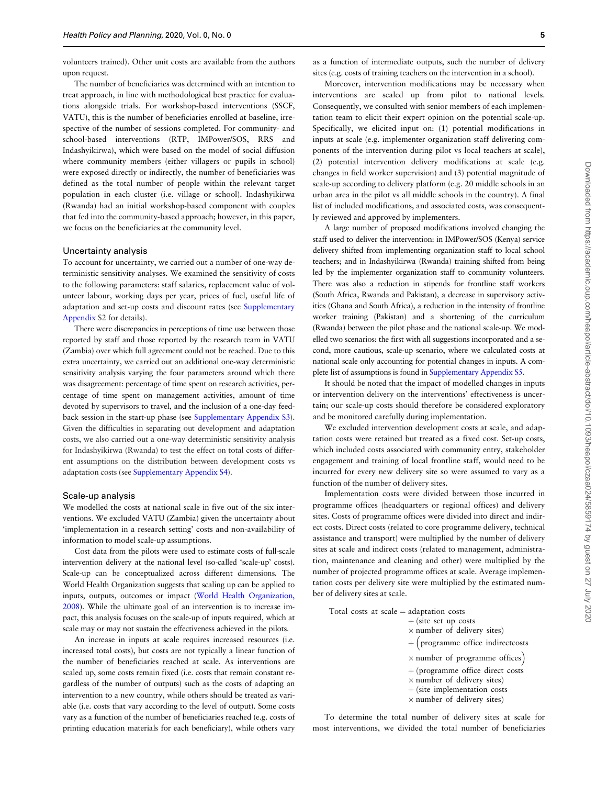volunteers trained). Other unit costs are available from the authors upon request.

The number of beneficiaries was determined with an intention to treat approach, in line with methodological best practice for evaluations alongside trials. For workshop-based interventions (SSCF, VATU), this is the number of beneficiaries enrolled at baseline, irrespective of the number of sessions completed. For community- and school-based interventions (RTP, IMPower/SOS, RRS and Indashyikirwa), which were based on the model of social diffusion where community members (either villagers or pupils in school) were exposed directly or indirectly, the number of beneficiaries was defined as the total number of people within the relevant target population in each cluster (i.e. village or school). Indashyikirwa (Rwanda) had an initial workshop-based component with couples that fed into the community-based approach; however, in this paper, we focus on the beneficiaries at the community level.

#### Uncertainty analysis

To account for uncertainty, we carried out a number of one-way deterministic sensitivity analyses. We examined the sensitivity of costs to the following parameters: staff salaries, replacement value of volunteer labour, working days per year, prices of fuel, useful life of adaptation and set-up costs and discount rates (see [Supplementary](https://academic.oup.com/heapol/article-lookup/doi/10.1093/heapol/czaa024#supplementary-data) [Appendix](https://academic.oup.com/heapol/article-lookup/doi/10.1093/heapol/czaa024#supplementary-data) S2 for details).

There were discrepancies in perceptions of time use between those reported by staff and those reported by the research team in VATU (Zambia) over which full agreement could not be reached. Due to this extra uncertainty, we carried out an additional one-way deterministic sensitivity analysis varying the four parameters around which there was disagreement: percentage of time spent on research activities, percentage of time spent on management activities, amount of time devoted by supervisors to travel, and the inclusion of a one-day feedback session in the start-up phase (see [Supplementary Appendix S3](https://academic.oup.com/heapol/article-lookup/doi/10.1093/heapol/czaa024#supplementary-data)). Given the difficulties in separating out development and adaptation costs, we also carried out a one-way deterministic sensitivity analysis for Indashyikirwa (Rwanda) to test the effect on total costs of different assumptions on the distribution between development costs vs adaptation costs (see [Supplementary Appendix S4](https://academic.oup.com/heapol/article-lookup/doi/10.1093/heapol/czaa024#supplementary-data)).

#### Scale-up analysis

We modelled the costs at national scale in five out of the six interventions. We excluded VATU (Zambia) given the uncertainty about 'implementation in a research setting' costs and non-availability of information to model scale-up assumptions.

Cost data from the pilots were used to estimate costs of full-scale intervention delivery at the national level (so-called 'scale-up' costs). Scale-up can be conceptualized across different dimensions. The World Health Organization suggests that scaling up can be applied to inputs, outputs, outcomes or impact [\(World Health Organization,](#page-11-0) [2008](#page-11-0)). While the ultimate goal of an intervention is to increase impact, this analysis focuses on the scale-up of inputs required, which at scale may or may not sustain the effectiveness achieved in the pilots.

An increase in inputs at scale requires increased resources (i.e. increased total costs), but costs are not typically a linear function of the number of beneficiaries reached at scale. As interventions are scaled up, some costs remain fixed (i.e. costs that remain constant regardless of the number of outputs) such as the costs of adapting an intervention to a new country, while others should be treated as variable (i.e. costs that vary according to the level of output). Some costs vary as a function of the number of beneficiaries reached (e.g. costs of printing education materials for each beneficiary), while others vary

as a function of intermediate outputs, such the number of delivery sites (e.g. costs of training teachers on the intervention in a school).

Moreover, intervention modifications may be necessary when interventions are scaled up from pilot to national levels. Consequently, we consulted with senior members of each implementation team to elicit their expert opinion on the potential scale-up. Specifically, we elicited input on: (1) potential modifications in inputs at scale (e.g. implementer organization staff delivering components of the intervention during pilot vs local teachers at scale), (2) potential intervention delivery modifications at scale (e.g. changes in field worker supervision) and (3) potential magnitude of scale-up according to delivery platform (e.g. 20 middle schools in an urban area in the pilot vs all middle schools in the country). A final list of included modifications, and associated costs, was consequently reviewed and approved by implementers.

A large number of proposed modifications involved changing the staff used to deliver the intervention: in IMPower/SOS (Kenya) service delivery shifted from implementing organization staff to local school teachers; and in Indashyikirwa (Rwanda) training shifted from being led by the implementer organization staff to community volunteers. There was also a reduction in stipends for frontline staff workers (South Africa, Rwanda and Pakistan), a decrease in supervisory activities (Ghana and South Africa), a reduction in the intensity of frontline worker training (Pakistan) and a shortening of the curriculum (Rwanda) between the pilot phase and the national scale-up. We modelled two scenarios: the first with all suggestions incorporated and a second, more cautious, scale-up scenario, where we calculated costs at national scale only accounting for potential changes in inputs. A complete list of assumptions is found in [Supplementary Appendix S5.](https://academic.oup.com/heapol/article-lookup/doi/10.1093/heapol/czaa024#supplementary-data)

It should be noted that the impact of modelled changes in inputs or intervention delivery on the interventions' effectiveness is uncertain; our scale-up costs should therefore be considered exploratory and be monitored carefully during implementation.

We excluded intervention development costs at scale, and adaptation costs were retained but treated as a fixed cost. Set-up costs, which included costs associated with community entry, stakeholder engagement and training of local frontline staff, would need to be incurred for every new delivery site so were assumed to vary as a function of the number of delivery sites.

Implementation costs were divided between those incurred in programme offices (headquarters or regional offices) and delivery sites. Costs of programme offices were divided into direct and indirect costs. Direct costs (related to core programme delivery, technical assistance and transport) were multiplied by the number of delivery sites at scale and indirect costs (related to management, administration, maintenance and cleaning and other) were multiplied by the number of projected programme offices at scale. Average implementation costs per delivery site were multiplied by the estimated number of delivery sites at scale.

|  |  | Total costs at scale $=$ adaptation costs |                                     |  |  |
|--|--|-------------------------------------------|-------------------------------------|--|--|
|  |  |                                           | $+$ (site set up costs              |  |  |
|  |  |                                           | $\times$ number of delivery sites)  |  |  |
|  |  |                                           | $+$ (programme office indirectcosts |  |  |

- $\times$  number of programme offices)
- + (programme office direct costs
- $\times$  number of delivery sites)
- $+$  (site implementation costs
- $\times$  number of delivery sites)

To determine the total number of delivery sites at scale for most interventions, we divided the total number of beneficiaries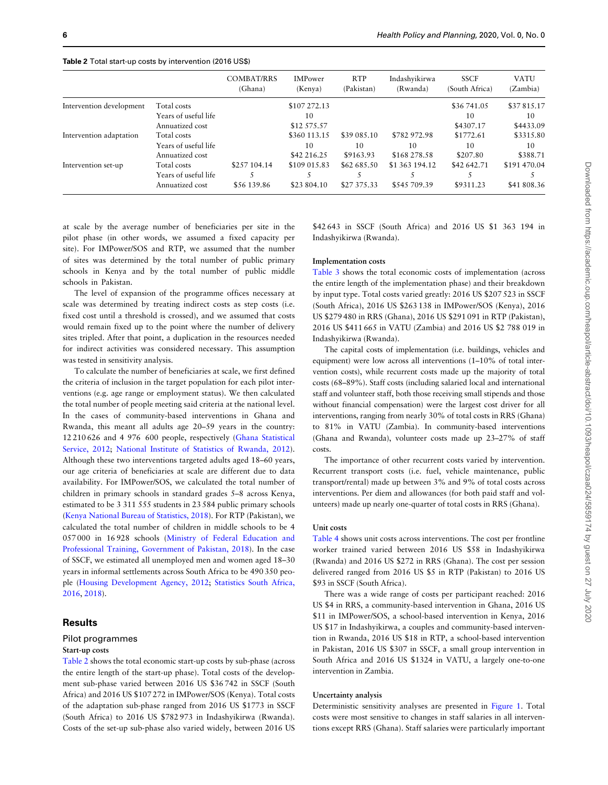|                          |                      | <b>COMBAT/RRS</b><br>(Ghana) | <b>IMPower</b><br>(Kenya) | <b>RTP</b><br>(Pakistan) | Indashyikirwa<br>(Rwanda) | <b>SSCF</b><br>(South Africa) | <b>VATU</b><br>(Zambia) |
|--------------------------|----------------------|------------------------------|---------------------------|--------------------------|---------------------------|-------------------------------|-------------------------|
| Intervention development | Total costs          |                              | \$107 272.13              |                          |                           | \$36 741.05                   | \$37815.17              |
|                          | Years of useful life |                              | 10                        |                          |                           | 10                            | 10                      |
|                          | Annuatized cost      |                              | \$12 575.57               |                          |                           | \$4307.17                     | \$4433.09               |
| Intervention adaptation  | Total costs          |                              | \$360 113.15              | \$39 085.10              | \$782 972.98              | \$1772.61                     | \$3315.80               |
|                          | Years of useful life |                              | 10                        | 10                       | 10                        | 10                            | 10                      |
|                          | Annuatized cost      |                              | \$42 216.25               | \$9163.93                | \$168 278.58              | \$207.80                      | \$388.71                |
| Intervention set-up      | Total costs          | \$2.57 104.14                | \$109 015.83              | \$62 685.50              | \$1 363 194.12            | \$42,642.71                   | \$191 470.04            |
|                          | Years of useful life |                              |                           |                          |                           |                               |                         |
|                          | Annuatized cost      | \$56 139.86                  | \$23 804.10               | \$27 375.33              | \$545 709.39              | \$9311.23                     | \$41 808.36             |

Table 2 Total start-up costs by intervention (2016 US\$)

at scale by the average number of beneficiaries per site in the pilot phase (in other words, we assumed a fixed capacity per site). For IMPower/SOS and RTP, we assumed that the number of sites was determined by the total number of public primary schools in Kenya and by the total number of public middle schools in Pakistan.

The level of expansion of the programme offices necessary at scale was determined by treating indirect costs as step costs (i.e. fixed cost until a threshold is crossed), and we assumed that costs would remain fixed up to the point where the number of delivery sites tripled. After that point, a duplication in the resources needed for indirect activities was considered necessary. This assumption was tested in sensitivity analysis.

To calculate the number of beneficiaries at scale, we first defined the criteria of inclusion in the target population for each pilot interventions (e.g. age range or employment status). We then calculated the total number of people meeting said criteria at the national level. In the cases of community-based interventions in Ghana and Rwanda, this meant all adults age 20–59 years in the country: 12 210 626 and 4 976 600 people, respectively [\(Ghana Statistical](#page-11-0) [Service, 2012;](#page-11-0) [National Institute of Statistics of Rwanda, 2012](#page-11-0)). Although these two interventions targeted adults aged 18–60 years, our age criteria of beneficiaries at scale are different due to data availability. For IMPower/SOS, we calculated the total number of children in primary schools in standard grades 5–8 across Kenya, estimated to be 3 311 555 students in 23 584 public primary schools ([Kenya National Bureau of Statistics, 2018\)](#page-11-0). For RTP (Pakistan), we calculated the total number of children in middle schools to be 4 057 000 in 16 928 schools [\(Ministry of Federal Education and](#page-11-0) [Professional Training, Government of Pakistan, 2018](#page-11-0)). In the case of SSCF, we estimated all unemployed men and women aged 18–30 years in informal settlements across South Africa to be 490 350 people ([Housing Development Agency, 2012;](#page-11-0) [Statistics South Africa,](#page-11-0) [2016,](#page-11-0) [2018\)](#page-11-0).

## **Results**

## Pilot programmes

#### Start-up costs

Table 2 shows the total economic start-up costs by sub-phase (across the entire length of the start-up phase). Total costs of the development sub-phase varied between 2016 US \$36 742 in SSCF (South Africa) and 2016 US \$107 272 in IMPower/SOS (Kenya). Total costs of the adaptation sub-phase ranged from 2016 US \$1773 in SSCF (South Africa) to 2016 US \$782 973 in Indashyikirwa (Rwanda). Costs of the set-up sub-phase also varied widely, between 2016 US

\$42 643 in SSCF (South Africa) and 2016 US \$1 363 194 in Indashyikirwa (Rwanda).

## Implementation costs

[Table 3](#page-6-0) shows the total economic costs of implementation (across the entire length of the implementation phase) and their breakdown by input type. Total costs varied greatly: 2016 US \$207 523 in SSCF (South Africa), 2016 US \$263 138 in IMPower/SOS (Kenya), 2016 US \$279 480 in RRS (Ghana), 2016 US \$291 091 in RTP (Pakistan), 2016 US \$411 665 in VATU (Zambia) and 2016 US \$2 788 019 in Indashyikirwa (Rwanda).

The capital costs of implementation (i.e. buildings, vehicles and equipment) were low across all interventions (1–10% of total intervention costs), while recurrent costs made up the majority of total costs (68–89%). Staff costs (including salaried local and international staff and volunteer staff, both those receiving small stipends and those without financial compensation) were the largest cost driver for all interventions, ranging from nearly 30% of total costs in RRS (Ghana) to 81% in VATU (Zambia). In community-based interventions (Ghana and Rwanda), volunteer costs made up 23–27% of staff costs.

The importance of other recurrent costs varied by intervention. Recurrent transport costs (i.e. fuel, vehicle maintenance, public transport/rental) made up between 3% and 9% of total costs across interventions. Per diem and allowances (for both paid staff and volunteers) made up nearly one-quarter of total costs in RRS (Ghana).

#### Unit costs

[Table 4](#page-7-0) shows unit costs across interventions. The cost per frontline worker trained varied between 2016 US \$58 in Indashyikirwa (Rwanda) and 2016 US \$272 in RRS (Ghana). The cost per session delivered ranged from 2016 US \$5 in RTP (Pakistan) to 2016 US \$93 in SSCF (South Africa).

There was a wide range of costs per participant reached: 2016 US \$4 in RRS, a community-based intervention in Ghana, 2016 US \$11 in IMPower/SOS, a school-based intervention in Kenya, 2016 US \$17 in Indashyikirwa, a couples and community-based intervention in Rwanda, 2016 US \$18 in RTP, a school-based intervention in Pakistan, 2016 US \$307 in SSCF, a small group intervention in South Africa and 2016 US \$1324 in VATU, a largely one-to-one intervention in Zambia.

#### Uncertainty analysis

Deterministic sensitivity analyses are presented in [Figure 1.](#page-7-0) Total costs were most sensitive to changes in staff salaries in all interventions except RRS (Ghana). Staff salaries were particularly important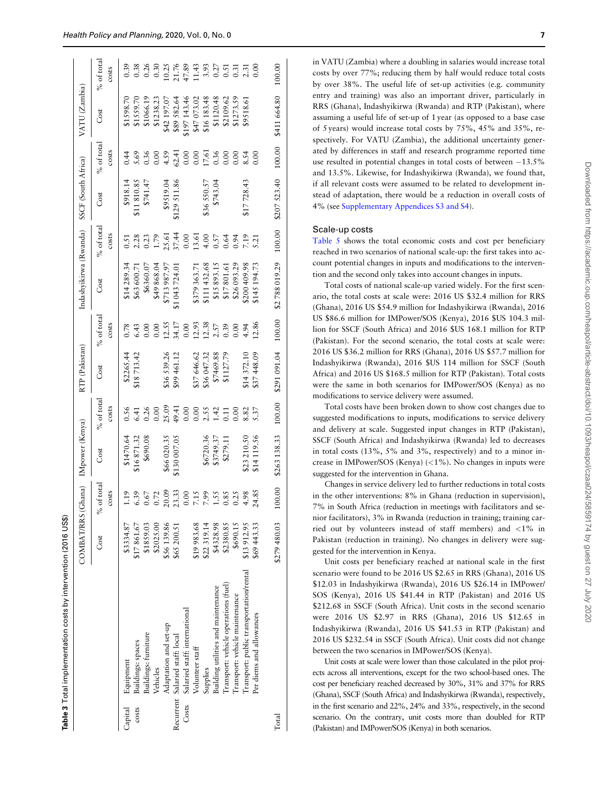<span id="page-6-0"></span>

|         |                                         | COMBAT/RRS (Ghana) IMpower (Kenya) |                                                                                                                                                                                                                                                                                                               |                                        |                                      | RTP (Pakistan)             |                                                               | Indashyikirwa (Rwanda)       |               | SSCF (South Africa)       |                                                                                                                                                                                                                                                                                                               | VATU (Zambia)                              |                                                               |
|---------|-----------------------------------------|------------------------------------|---------------------------------------------------------------------------------------------------------------------------------------------------------------------------------------------------------------------------------------------------------------------------------------------------------------|----------------------------------------|--------------------------------------|----------------------------|---------------------------------------------------------------|------------------------------|---------------|---------------------------|---------------------------------------------------------------------------------------------------------------------------------------------------------------------------------------------------------------------------------------------------------------------------------------------------------------|--------------------------------------------|---------------------------------------------------------------|
|         |                                         | Cost                               | $%$ of total                                                                                                                                                                                                                                                                                                  | Cost                                   | $%$ of total                         | Cost                       | % of total                                                    | Cost                         | $\%$ of total | Cost                      | $%$ of total                                                                                                                                                                                                                                                                                                  | Cost                                       | $%$ of total                                                  |
|         |                                         |                                    | costs                                                                                                                                                                                                                                                                                                         |                                        | costs                                |                            | costs                                                         |                              | costs         |                           | costs                                                                                                                                                                                                                                                                                                         |                                            | costs                                                         |
| Capital | Equipment                               | \$3334.87                          | $\ddot{.}19$                                                                                                                                                                                                                                                                                                  |                                        |                                      | \$2265.44                  |                                                               | \$14 289.34                  | 0.51          | \$918.14                  | 0.44                                                                                                                                                                                                                                                                                                          | \$1598.70                                  | 0.39                                                          |
| COStS   | Buildings: spaces                       | \$17861.67                         |                                                                                                                                                                                                                                                                                                               | $$1470.64$<br>$$16871.32$<br>$$690.08$ | $6.56$<br>$6.41$                     | \$18713.42                 | $0.78$<br>6.43<br>0.00                                        | \$63 600.71                  |               | \$11810.85                |                                                                                                                                                                                                                                                                                                               | \$1559.70                                  |                                                               |
|         | Buildings: furniture                    | \$1859.03                          |                                                                                                                                                                                                                                                                                                               |                                        | $0.26$<br>$0.00$                     |                            |                                                               | \$6360.07                    |               | \$741.47                  |                                                                                                                                                                                                                                                                                                               | \$1066.19                                  |                                                               |
|         | Vehicles                                | \$2025.00                          | $\begin{array}{l} 6.39 \\ 6.57 \\ 0.02 \\ 0.03 \\ 0.04 \\ 0.00 \\ 0.00 \\ 0.00 \\ 0.00 \\ 0.00 \\ 0.00 \\ 0.00 \\ 0.00 \\ 0.00 \\ 0.00 \\ 0.00 \\ 0.00 \\ 0.00 \\ 0.00 \\ 0.00 \\ 0.00 \\ 0.00 \\ 0.00 \\ 0.00 \\ 0.00 \\ 0.00 \\ 0.00 \\ 0.00 \\ 0.00 \\ 0.00 \\ 0.00 \\ 0.00 \\ 0.00 \\ 0.00 \\ 0.00 \\ 0.$ |                                        |                                      |                            |                                                               | \$49 868.04                  |               |                           | $\begin{array}{l} 5.69 \\ 5.36 \\ 0.30 \\ 0.00 \\ 0.01 \\ 0.00 \\ 0.00 \\ 0.00 \\ 0.00 \\ 0.00 \\ 0.00 \\ 0.00 \\ 0.00 \\ 0.00 \\ 0.00 \\ 0.00 \\ 0.00 \\ 0.00 \\ 0.00 \\ 0.00 \\ 0.00 \\ 0.00 \\ 0.00 \\ 0.00 \\ 0.00 \\ 0.00 \\ 0.00 \\ 0.00 \\ 0.00 \\ 0.00 \\ 0.00 \\ 0.00 \\ 0.00 \\ 0.00 \\ 0.00 \\ 0.$ | \$1238.23                                  | $\begin{array}{c} 38 \\ 0 \\ 0 \\ 0 \\ 0 \\ 0 \\ \end{array}$ |
|         | Adaptation and set-up                   | \$56139.86                         |                                                                                                                                                                                                                                                                                                               | \$66 020.35                            |                                      |                            |                                                               | \$713 987.97                 |               |                           |                                                                                                                                                                                                                                                                                                               | \$42 197.07                                |                                                               |
|         | Recurrent Salaried staff: local         | \$65 200.51                        |                                                                                                                                                                                                                                                                                                               | \$130 007.05                           | 25.09<br>49.41<br>0.00               | \$36 539.26<br>\$99 461.12 | $\begin{array}{c} 0.00 \\ 12.55 \\ 34.17 \\ 0.00 \end{array}$ | \$1043724.01                 |               | \$9519.04<br>\$129 511.86 |                                                                                                                                                                                                                                                                                                               |                                            |                                                               |
| Costs   | Salaried staff: international           |                                    |                                                                                                                                                                                                                                                                                                               |                                        |                                      |                            |                                                               |                              |               |                           |                                                                                                                                                                                                                                                                                                               |                                            |                                                               |
|         | Volunteer staff                         | \$19983.68                         |                                                                                                                                                                                                                                                                                                               |                                        |                                      | \$37646.62                 |                                                               | \$379 363.71<br>\$111 432.68 |               |                           |                                                                                                                                                                                                                                                                                                               | \$89 582.64<br>\$197 143.46<br>\$47 073.02 |                                                               |
|         | Supplies                                | \$22 319.14                        |                                                                                                                                                                                                                                                                                                               | \$6720.36                              |                                      | \$36047.32                 |                                                               |                              |               | \$36550.57                |                                                                                                                                                                                                                                                                                                               | \$16183.48                                 |                                                               |
|         | Building utilities and maintenance      | \$4328.98                          |                                                                                                                                                                                                                                                                                                               | \$3749.37                              | $0.00$<br>$2.55$<br>$1.42$<br>$0.11$ | \$7469.88                  | $\begin{array}{c} 12.93 \\ 12.38 \\ 2.57 \\ 0.39 \end{array}$ | \$15 893.15                  |               | \$743.04                  |                                                                                                                                                                                                                                                                                                               | \$1120.48                                  |                                                               |
|         | Transport: vehicle operations (fuel)    | \$2380.85                          |                                                                                                                                                                                                                                                                                                               | \$279.11                               |                                      | \$1127.79                  |                                                               |                              |               |                           |                                                                                                                                                                                                                                                                                                               | \$2109.62                                  |                                                               |
|         | Transport: vehicle maintenance          | \$690.15                           |                                                                                                                                                                                                                                                                                                               |                                        | 0.00                                 |                            | 0.00                                                          | \$17 801.61<br>\$26 093.29   |               |                           |                                                                                                                                                                                                                                                                                                               | \$1273.59                                  |                                                               |
|         | Iransport: public transportation/rental | \$13912.95                         |                                                                                                                                                                                                                                                                                                               | \$23 210.50                            | 8.82                                 |                            | 4.94                                                          | \$200 409.98                 |               | \$17728.43                | 0.00<br>8.54                                                                                                                                                                                                                                                                                                  | \$9518.61                                  |                                                               |
|         | Per diems and allowances                | \$69443.33                         |                                                                                                                                                                                                                                                                                                               | \$14119.56                             | 5.37                                 | \$14372.10<br>\$37448.09   | 12.86                                                         | \$145 194.73                 |               |                           |                                                                                                                                                                                                                                                                                                               |                                            |                                                               |
| Total   |                                         | $$279480.03$ 100.00                |                                                                                                                                                                                                                                                                                                               | \$263 138.33                           |                                      |                            |                                                               |                              |               |                           |                                                                                                                                                                                                                                                                                                               |                                            |                                                               |

Table 3 Total implementation costs by intervention (2016 US\$)

Total implementation costs by intervention (2016 US\$)

in VATU (Zambia) where a doubling in salaries would increase total costs by over 77%; reducing them by half would reduce total costs by over 38%. The useful life of set-up activities (e.g. community entry and training) was also an important driver, particularly in RRS (Ghana), Indashyikirwa (Rwanda) and RTP (Pakistan), where assuming a useful life of set-up of 1 year (as opposed to a base case of 5 years) would increase total costs by 75%, 45% and 35%, respectively. For VATU (Zambia), the additional uncertainty generated by differences in staff and research programme reported time use resulted in potential changes in total costs of between  $-13.5\%$ and 13.5%. Likewise, for Indashyikirwa (Rwanda), we found that, if all relevant costs were assumed to be related to development instead of adaptation, there would be a reduction in overall costs of 4% (see [Supplementary Appendices S3 and S4\)](https://academic.oup.com/heapol/article-lookup/doi/10.1093/heapol/czaa024#supplementary-data).

#### Scale-up costs

[Table 5](#page-8-0) shows the total economic costs and cost per beneficiary reached in two scenarios of national scale-up: the first takes into account potential changes in inputs and modifications to the intervention and the second only takes into account changes in inputs.

Total costs of national scale-up varied widely. For the first scenario, the total costs at scale were: 2016 US \$32.4 million for RRS (Ghana), 2016 US \$54.9 million for Indashyikirwa (Rwanda), 2016 US \$86.6 million for IMPower/SOS (Kenya), 2016 \$US 104.3 million for SSCF (South Africa) and 2016 \$US 168.1 million for RTP (Pakistan). For the second scenario, the total costs at scale were: 2016 US \$36.2 million for RRS (Ghana), 2016 US \$57.7 million for Indashyikirwa (Rwanda), 2016 \$US 114 million for SSCF (South Africa) and 2016 US \$168.5 million for RTP (Pakistan). Total costs were the same in both scenarios for IMPower/SOS (Kenya) as no modifications to service delivery were assumed.

Total costs have been broken down to show cost changes due to suggested modifications to inputs, modifications to service delivery and delivery at scale. Suggested input changes in RTP (Pakistan), SSCF (South Africa) and Indashyikirwa (Rwanda) led to decreases in total costs (13%, 5% and 3%, respectively) and to a minor increase in IMPower/SOS (Kenya) (<1%). No changes in inputs were suggested for the intervention in Ghana.

Changes in service delivery led to further reductions in total costs in the other interventions: 8% in Ghana (reduction in supervision), 7% in South Africa (reduction in meetings with facilitators and senior facilitators), 3% in Rwanda (reduction in training; training carried out by volunteers instead of staff members) and <1% in Pakistan (reduction in training). No changes in delivery were suggested for the intervention in Kenya.

Unit costs per beneficiary reached at national scale in the first scenario were found to be 2016 US \$2.65 in RRS (Ghana), 2016 US \$12.03 in Indashyikirwa (Rwanda), 2016 US \$26.14 in IMPower/ SOS (Kenya), 2016 US \$41.44 in RTP (Pakistan) and 2016 US \$212.68 in SSCF (South Africa). Unit costs in the second scenario were 2016 US \$2.97 in RRS (Ghana), 2016 US \$12.65 in Indashyikirwa (Rwanda), 2016 US \$41.53 in RTP (Pakistan) and 2016 US \$232.54 in SSCF (South Africa). Unit costs did not change between the two scenarios in IMPower/SOS (Kenya).

Unit costs at scale were lower than those calculated in the pilot projects across all interventions, except for the two school-based ones. The cost per beneficiary reached decreased by 30%, 31% and 37% for RRS (Ghana), SSCF (South Africa) and Indashyikirwa (Rwanda), respectively, in the first scenario and 22%, 24% and 33%, respectively, in the second scenario. On the contrary, unit costs more than doubled for RTP (Pakistan) and IMPower/SOS (Kenya) in both scenarios.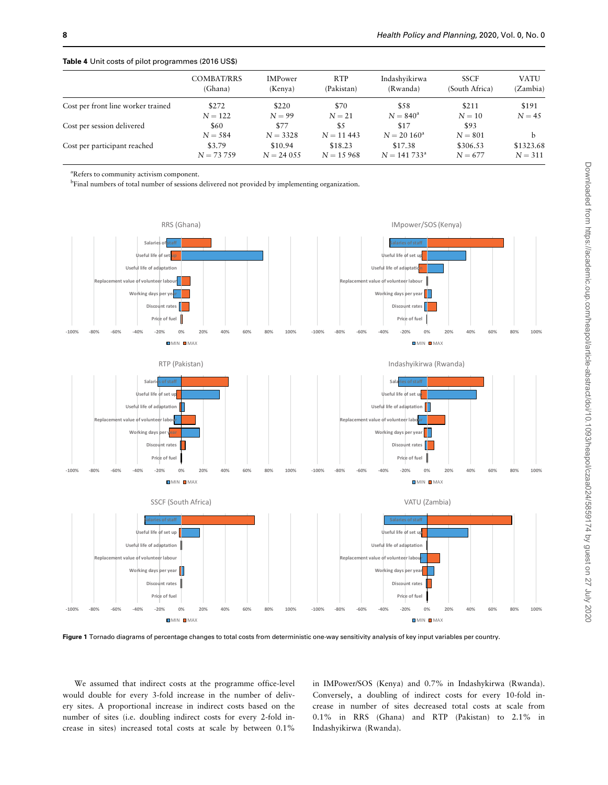| <b>COMBAT/RRS</b> | <b>IMPower</b> | <b>RTP</b>  | Indashyikirwa  | <b>SSCF</b>    | VATU              |
|-------------------|----------------|-------------|----------------|----------------|-------------------|
| (Ghana)           | (Kenya)        | (Pakistan)  | (Rwanda)       | (South Africa) | (Zambia)          |
| \$272             | \$220          | \$70        | \$58           | \$211          | \$191<br>$N = 45$ |
| \$60              | \$77           | \$5         | \$17           | \$93           |                   |
| \$3.79            | \$10.94        | \$18.23     | \$17.38        | \$306.53       | \$1323.68         |
| $N = 73,759$      | $N = 24055$    | $N = 15968$ | $N = 141733^a$ | $N = 677$      | $N = 311$         |
|                   | $N = 122$      | $N = 99$    | $N = 21$       | $N = 840^a$    | $N = 10$          |
|                   | $N = 584$      | $N = 3328$  | $N = 11443$    | $N = 20 160^a$ | $N = 801$         |

<span id="page-7-0"></span>Table 4 Unit costs of pilot programmes (2016 US\$)

a Refers to community activism component.

<sup>b</sup>Final numbers of total number of sessions delivered not provided by implementing organization.



Figure 1 Tornado diagrams of percentage changes to total costs from deterministic one-way sensitivity analysis of key input variables per country.

We assumed that indirect costs at the programme office-level would double for every 3-fold increase in the number of delivery sites. A proportional increase in indirect costs based on the number of sites (i.e. doubling indirect costs for every 2-fold increase in sites) increased total costs at scale by between 0.1%

in IMPower/SOS (Kenya) and 0.7% in Indashykirwa (Rwanda). Conversely, a doubling of indirect costs for every 10-fold increase in number of sites decreased total costs at scale from 0.1% in RRS (Ghana) and RTP (Pakistan) to 2.1% in Indashyikirwa (Rwanda).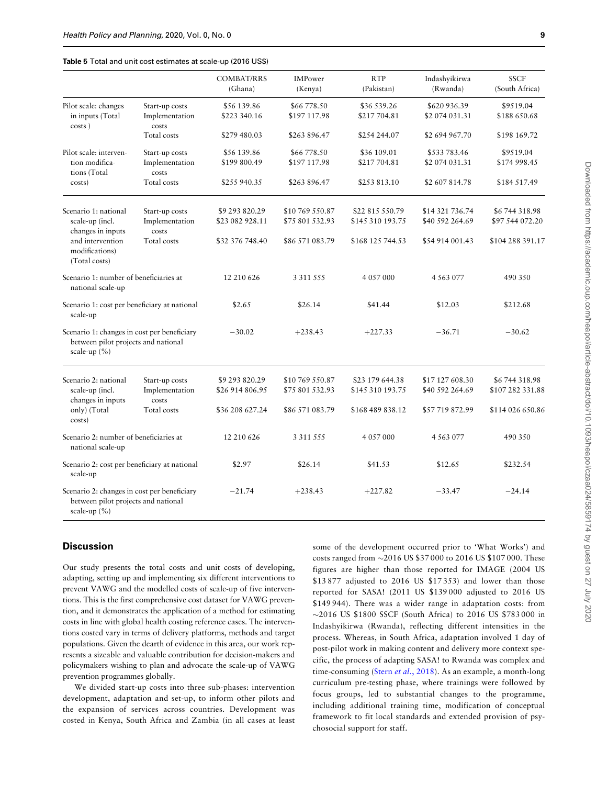#### <span id="page-8-0"></span>Table 5 Total and unit cost estimates at scale-up (2016 US\$)

|                                                                                                                     |                                                          | <b>COMBAT/RRS</b><br>(Ghana)                         | IMPower<br>(Kenya)                                    | <b>RTP</b><br>(Pakistan)                                | Indashyikirwa<br>(Rwanda)                             | <b>SSCF</b><br>(South Africa)                        |
|---------------------------------------------------------------------------------------------------------------------|----------------------------------------------------------|------------------------------------------------------|-------------------------------------------------------|---------------------------------------------------------|-------------------------------------------------------|------------------------------------------------------|
| Pilot scale: changes<br>in inputs (Total                                                                            | Start-up costs<br>Implementation                         | \$56 139.86<br>\$223 340.16                          | \$66 778.50<br>\$197 117.98                           | \$36 539.26<br>\$217704.81                              | \$620 936.39<br>\$2 074 031.31                        | \$9519.04<br>\$188 650.68                            |
| costs)                                                                                                              | costs<br>Total costs                                     | \$279 480.03                                         | \$263 896.47                                          | \$254 244.07                                            | \$2 694 967.70                                        | \$198 169.72                                         |
| Pilot scale: interven-<br>tion modifica-<br>tions (Total                                                            | Start-up costs<br>Implementation<br>costs                | \$56 139.86<br>\$199 800.49                          | \$66 778.50<br>\$197 117.98                           | \$36 109.01<br>\$217704.81                              | \$533783.46<br>\$2 074 031.31                         | \$9519.04<br>\$174 998.45                            |
| costs)                                                                                                              | Total costs                                              | \$255 940.35                                         | \$263 896.47                                          | \$253 813.10                                            | \$2 607 814.78                                        | \$184 517.49                                         |
| Scenario 1: national<br>scale-up (incl.<br>changes in inputs<br>and intervention<br>modifications)<br>(Total costs) | Start-up costs<br>Implementation<br>costs<br>Total costs | \$9 293 820.29<br>\$23 082 928.11<br>\$32 376 748.40 | \$10 769 550.87<br>\$75 801 532.93<br>\$86 571 083.79 | \$22 815 550.79<br>\$145 310 193.75<br>\$168 125 744.53 | \$14 321 736.74<br>\$40 592 264.69<br>\$54 914 001.43 | \$6744318.98<br>\$97 544 072.20<br>\$104 288 391.17  |
| Scenario 1: number of beneficiaries at<br>national scale-up                                                         |                                                          | 12 210 626                                           | 3 3 1 5 5 5 5                                         | 4 0 5 7 0 0 0                                           | 4 5 6 3 0 7 7                                         | 490 350                                              |
| Scenario 1: cost per beneficiary at national<br>scale-up                                                            |                                                          | \$2.65                                               | \$26.14                                               | \$41.44                                                 | \$12.03                                               | \$212.68                                             |
| Scenario 1: changes in cost per beneficiary<br>between pilot projects and national<br>scale-up $(\% )$              |                                                          | $-30.02$                                             | $+238.43$                                             | $+227.33$                                               | $-36.71$                                              | $-30.62$                                             |
| Scenario 2: national<br>scale-up (incl.<br>changes in inputs<br>only) (Total                                        | Start-up costs<br>Implementation<br>costs<br>Total costs | \$9 293 820.29<br>\$26 914 806.95<br>\$36 208 627.24 | \$10 769 550.87<br>\$75 801 532.93<br>\$86 571 083.79 | \$23 179 644.38<br>\$145 310 193.75<br>\$168 489 838.12 | \$17 127 608.30<br>\$40 592 264.69<br>\$57 719 872.99 | \$6744318.98<br>\$107 282 331.88<br>\$114 026 650.86 |
| costs)                                                                                                              |                                                          |                                                      |                                                       |                                                         |                                                       |                                                      |
| Scenario 2: number of beneficiaries at<br>national scale-up                                                         |                                                          | 12 210 626                                           | 3 3 1 5 5 5                                           | 4 057 000                                               | 4 5 6 3 0 7 7                                         | 490 350                                              |
| Scenario 2: cost per beneficiary at national<br>scale-up                                                            |                                                          | \$2.97                                               | \$26.14                                               | \$41.53                                                 | \$12.65                                               | \$232.54                                             |
| Scenario 2: changes in cost per beneficiary<br>between pilot projects and national<br>scale-up $(\% )$              |                                                          | $-21.74$                                             | $+238.43$                                             | $+227.82$                                               | $-33.47$                                              | $-24.14$                                             |

## **Discussion**

Our study presents the total costs and unit costs of developing, adapting, setting up and implementing six different interventions to prevent VAWG and the modelled costs of scale-up of five interventions. This is the first comprehensive cost dataset for VAWG prevention, and it demonstrates the application of a method for estimating costs in line with global health costing reference cases. The interventions costed vary in terms of delivery platforms, methods and target populations. Given the dearth of evidence in this area, our work represents a sizeable and valuable contribution for decision-makers and policymakers wishing to plan and advocate the scale-up of VAWG prevention programmes globally.

We divided start-up costs into three sub-phases: intervention development, adaptation and set-up, to inform other pilots and the expansion of services across countries. Development was costed in Kenya, South Africa and Zambia (in all cases at least some of the development occurred prior to 'What Works') and costs ranged from -2016 US \$37 000 to 2016 US \$107 000. These figures are higher than those reported for IMAGE (2004 US \$13 877 adjusted to 2016 US \$17 353) and lower than those reported for SASA! (2011 US \$139 000 adjusted to 2016 US \$149 944). There was a wider range in adaptation costs: from -2016 US \$1800 SSCF (South Africa) to 2016 US \$783 000 in Indashyikirwa (Rwanda), reflecting different intensities in the process. Whereas, in South Africa, adaptation involved 1 day of post-pilot work in making content and delivery more context specific, the process of adapting SASA! to Rwanda was complex and time-consuming (Stern et al.[, 2018\)](#page-11-0). As an example, a month-long curriculum pre-testing phase, where trainings were followed by focus groups, led to substantial changes to the programme, including additional training time, modification of conceptual framework to fit local standards and extended provision of psychosocial support for staff.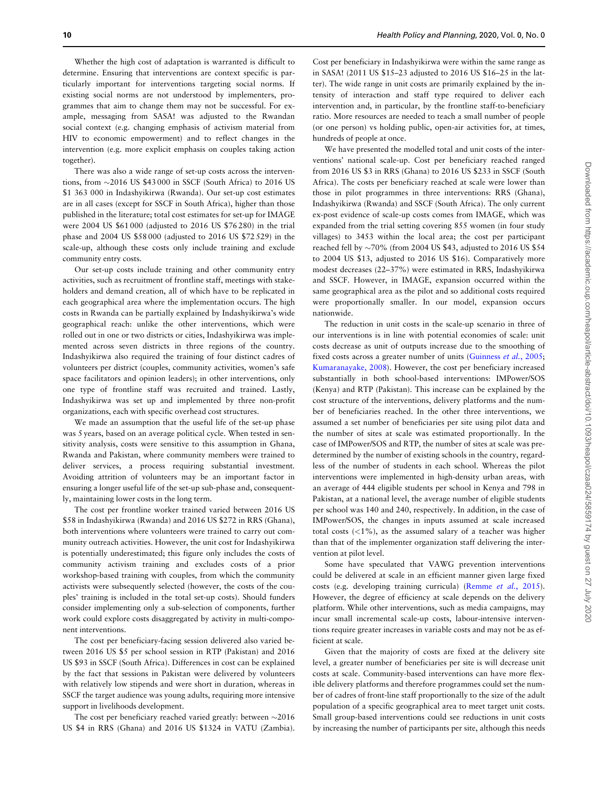Whether the high cost of adaptation is warranted is difficult to determine. Ensuring that interventions are context specific is particularly important for interventions targeting social norms. If existing social norms are not understood by implementers, programmes that aim to change them may not be successful. For example, messaging from SASA! was adjusted to the Rwandan social context (e.g. changing emphasis of activism material from HIV to economic empowerment) and to reflect changes in the intervention (e.g. more explicit emphasis on couples taking action together).

There was also a wide range of set-up costs across the interventions, from -2016 US \$43 000 in SSCF (South Africa) to 2016 US \$1 363 000 in Indashyikirwa (Rwanda). Our set-up cost estimates are in all cases (except for SSCF in South Africa), higher than those published in the literature; total cost estimates for set-up for IMAGE were 2004 US \$61 000 (adjusted to 2016 US \$76 280) in the trial phase and 2004 US \$58 000 (adjusted to 2016 US \$72 529) in the scale-up, although these costs only include training and exclude community entry costs.

Our set-up costs include training and other community entry activities, such as recruitment of frontline staff, meetings with stakeholders and demand creation, all of which have to be replicated in each geographical area where the implementation occurs. The high costs in Rwanda can be partially explained by Indashyikirwa's wide geographical reach: unlike the other interventions, which were rolled out in one or two districts or cities, Indashyikirwa was implemented across seven districts in three regions of the country. Indashyikirwa also required the training of four distinct cadres of volunteers per district (couples, community activities, women's safe space facilitators and opinion leaders); in other interventions, only one type of frontline staff was recruited and trained. Lastly, Indashyikirwa was set up and implemented by three non-profit organizations, each with specific overhead cost structures.

We made an assumption that the useful life of the set-up phase was 5 years, based on an average political cycle. When tested in sensitivity analysis, costs were sensitive to this assumption in Ghana, Rwanda and Pakistan, where community members were trained to deliver services, a process requiring substantial investment. Avoiding attrition of volunteers may be an important factor in ensuring a longer useful life of the set-up sub-phase and, consequently, maintaining lower costs in the long term.

The cost per frontline worker trained varied between 2016 US \$58 in Indashyikirwa (Rwanda) and 2016 US \$272 in RRS (Ghana), both interventions where volunteers were trained to carry out community outreach activities. However, the unit cost for Indashyikirwa is potentially underestimated; this figure only includes the costs of community activism training and excludes costs of a prior workshop-based training with couples, from which the community activists were subsequently selected (however, the costs of the couples' training is included in the total set-up costs). Should funders consider implementing only a sub-selection of components, further work could explore costs disaggregated by activity in multi-component interventions.

The cost per beneficiary-facing session delivered also varied between 2016 US \$5 per school session in RTP (Pakistan) and 2016 US \$93 in SSCF (South Africa). Differences in cost can be explained by the fact that sessions in Pakistan were delivered by volunteers with relatively low stipends and were short in duration, whereas in SSCF the target audience was young adults, requiring more intensive support in livelihoods development.

The cost per beneficiary reached varied greatly: between  $\sim$ 2016 US \$4 in RRS (Ghana) and 2016 US \$1324 in VATU (Zambia).

Cost per beneficiary in Indashyikirwa were within the same range as in SASA! (2011 US \$15–23 adjusted to 2016 US \$16–25 in the latter). The wide range in unit costs are primarily explained by the intensity of interaction and staff type required to deliver each intervention and, in particular, by the frontline staff-to-beneficiary ratio. More resources are needed to teach a small number of people (or one person) vs holding public, open-air activities for, at times, hundreds of people at once.

We have presented the modelled total and unit costs of the interventions' national scale-up. Cost per beneficiary reached ranged from 2016 US \$3 in RRS (Ghana) to 2016 US \$233 in SSCF (South Africa). The costs per beneficiary reached at scale were lower than those in pilot programmes in three interventions: RRS (Ghana), Indashyikirwa (Rwanda) and SSCF (South Africa). The only current ex-post evidence of scale-up costs comes from IMAGE, which was expanded from the trial setting covering 855 women (in four study villages) to 3453 within the local area; the cost per participant reached fell by  $\sim$ 70% (from 2004 US \$43, adjusted to 2016 US \$54 to 2004 US \$13, adjusted to 2016 US \$16). Comparatively more modest decreases (22–37%) were estimated in RRS, Indashyikirwa and SSCF. However, in IMAGE, expansion occurred within the same geographical area as the pilot and so additional costs required were proportionally smaller. In our model, expansion occurs nationwide.

The reduction in unit costs in the scale-up scenario in three of our interventions is in line with potential economies of scale: unit costs decrease as unit of outputs increase due to the smoothing of fixed costs across a greater number of units ([Guinness](#page-11-0) et al., 2005; [Kumaranayake, 2008\)](#page-11-0). However, the cost per beneficiary increased substantially in both school-based interventions: IMPower/SOS (Kenya) and RTP (Pakistan). This increase can be explained by the cost structure of the interventions, delivery platforms and the number of beneficiaries reached. In the other three interventions, we assumed a set number of beneficiaries per site using pilot data and the number of sites at scale was estimated proportionally. In the case of IMPower/SOS and RTP, the number of sites at scale was predetermined by the number of existing schools in the country, regardless of the number of students in each school. Whereas the pilot interventions were implemented in high-density urban areas, with an average of 444 eligible students per school in Kenya and 798 in Pakistan, at a national level, the average number of eligible students per school was 140 and 240, respectively. In addition, in the case of IMPower/SOS, the changes in inputs assumed at scale increased total costs  $\left($  <1%), as the assumed salary of a teacher was higher than that of the implementer organization staff delivering the intervention at pilot level.

Some have speculated that VAWG prevention interventions could be delivered at scale in an efficient manner given large fixed costs (e.g. developing training curricula) ([Remme](#page-11-0) et al., 2015). However, the degree of efficiency at scale depends on the delivery platform. While other interventions, such as media campaigns, may incur small incremental scale-up costs, labour-intensive interventions require greater increases in variable costs and may not be as efficient at scale.

Given that the majority of costs are fixed at the delivery site level, a greater number of beneficiaries per site is will decrease unit costs at scale. Community-based interventions can have more flexible delivery platforms and therefore programmes could set the number of cadres of front-line staff proportionally to the size of the adult population of a specific geographical area to meet target unit costs. Small group-based interventions could see reductions in unit costs by increasing the number of participants per site, although this needs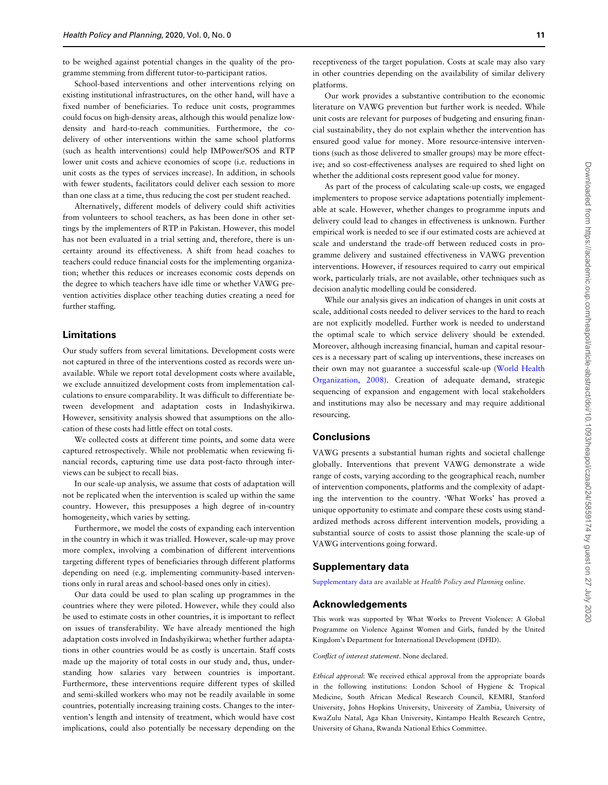to be weighed against potential changes in the quality of the programme stemming from different tutor-to-participant ratios.

School-based interventions and other interventions relying on existing institutional infrastructures, on the other hand, will have a fixed number of beneficiaries. To reduce unit costs, programmes could focus on high-density areas, although this would penalize lowdensity and hard-to-reach communities. Furthermore, the codelivery of other interventions within the same school platforms (such as health interventions) could help IMPower/SOS and RTP lower unit costs and achieve economies of scope (i.e. reductions in unit costs as the types of services increase). In addition, in schools with fewer students, facilitators could deliver each session to more than one class at a time, thus reducing the cost per student reached.

Alternatively, different models of delivery could shift activities from volunteers to school teachers, as has been done in other settings by the implementers of RTP in Pakistan. However, this model has not been evaluated in a trial setting and, therefore, there is uncertainty around its effectiveness. A shift from head coaches to teachers could reduce financial costs for the implementing organization; whether this reduces or increases economic costs depends on the degree to which teachers have idle time or whether VAWG prevention activities displace other teaching duties creating a need for further staffing.

## Limitations

Our study suffers from several limitations. Development costs were not captured in three of the interventions costed as records were unavailable. While we report total development costs where available, we exclude annuitized development costs from implementation calculations to ensure comparability. It was difficult to differentiate between development and adaptation costs in Indashyikirwa. However, sensitivity analysis showed that assumptions on the allocation of these costs had little effect on total costs.

We collected costs at different time points, and some data were captured retrospectively. While not problematic when reviewing financial records, capturing time use data post-facto through interviews can be subject to recall bias.

In our scale-up analysis, we assume that costs of adaptation will not be replicated when the intervention is scaled up within the same country. However, this presupposes a high degree of in-country homogeneity, which varies by setting.

Furthermore, we model the costs of expanding each intervention in the country in which it was trialled. However, scale-up may prove more complex, involving a combination of different interventions targeting different types of beneficiaries through different platforms depending on need (e.g. implementing community-based interventions only in rural areas and school-based ones only in cities).

Our data could be used to plan scaling up programmes in the countries where they were piloted. However, while they could also be used to estimate costs in other countries, it is important to reflect on issues of transferability. We have already mentioned the high adaptation costs involved in Indashyikirwa; whether further adaptations in other countries would be as costly is uncertain. Staff costs made up the majority of total costs in our study and, thus, understanding how salaries vary between countries is important. Furthermore, these interventions require different types of skilled and semi-skilled workers who may not be readily available in some countries, potentially increasing training costs. Changes to the intervention's length and intensity of treatment, which would have cost implications, could also potentially be necessary depending on the

receptiveness of the target population. Costs at scale may also vary in other countries depending on the availability of similar delivery platforms.

Our work provides a substantive contribution to the economic literature on VAWG prevention but further work is needed. While unit costs are relevant for purposes of budgeting and ensuring financial sustainability, they do not explain whether the intervention has ensured good value for money. More resource-intensive interventions (such as those delivered to smaller groups) may be more effective; and so cost-effectiveness analyses are required to shed light on whether the additional costs represent good value for money.

As part of the process of calculating scale-up costs, we engaged implementers to propose service adaptations potentially implementable at scale. However, whether changes to programme inputs and delivery could lead to changes in effectiveness is unknown. Further empirical work is needed to see if our estimated costs are achieved at scale and understand the trade-off between reduced costs in programme delivery and sustained effectiveness in VAWG prevention interventions. However, if resources required to carry out empirical work, particularly trials, are not available, other techniques such as decision analytic modelling could be considered.

While our analysis gives an indication of changes in unit costs at scale, additional costs needed to deliver services to the hard to reach are not explicitly modelled. Further work is needed to understand the optimal scale to which service delivery should be extended. Moreover, although increasing financial, human and capital resources is a necessary part of scaling up interventions, these increases on their own may not guarantee a successful scale-up [\(World Health](#page-11-0) [Organization, 2008\)](#page-11-0). Creation of adequate demand, strategic sequencing of expansion and engagement with local stakeholders and institutions may also be necessary and may require additional resourcing.

## **Conclusions**

VAWG presents a substantial human rights and societal challenge globally. Interventions that prevent VAWG demonstrate a wide range of costs, varying according to the geographical reach, number of intervention components, platforms and the complexity of adapting the intervention to the country. 'What Works' has proved a unique opportunity to estimate and compare these costs using standardized methods across different intervention models, providing a substantial source of costs to assist those planning the scale-up of VAWG interventions going forward.

# Supplementary data

[Supplementary data](https://academic.oup.com/heapol/article-lookup/doi/10.1093/heapol/czaa024#supplementary-data) are available at Health Policy and Planning online.

## Acknowledgements

This work was supported by What Works to Prevent Violence: A Global Programme on Violence Against Women and Girls, funded by the United Kingdom's Department for International Development (DFID).

Conflict of interest statement. None declared.

Ethical approval: We received ethical approval from the appropriate boards in the following institutions: London School of Hygiene & Tropical Medicine, South African Medical Research Council, KEMRI, Stanford University, Johns Hopkins University, University of Zambia, University of KwaZulu Natal, Aga Khan University, Kintampo Health Research Centre, University of Ghana, Rwanda National Ethics Committee.